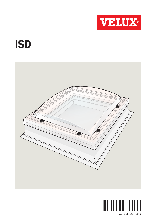

## ISD



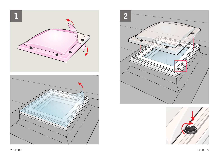